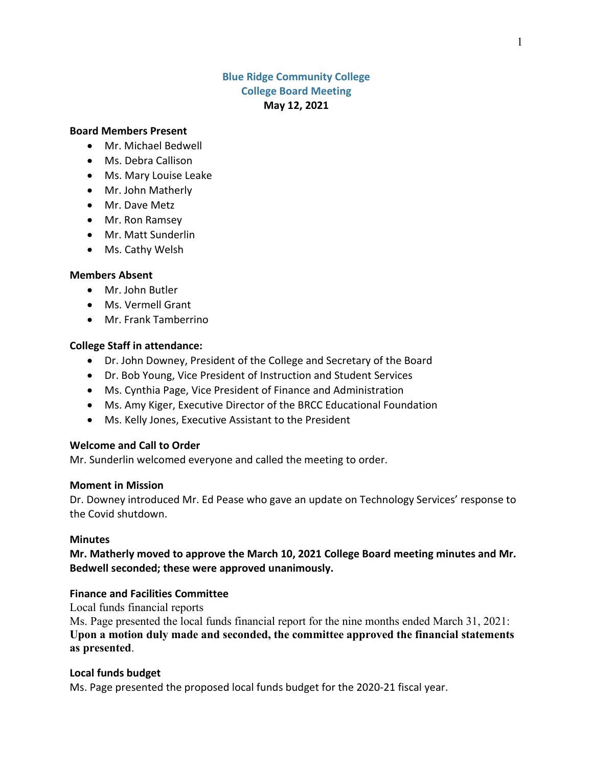# **Blue Ridge Community College College Board Meeting May 12, 2021**

### **Board Members Present**

- Mr. Michael Bedwell
- Ms. Debra Callison
- Ms. Mary Louise Leake
- Mr. John Matherly
- Mr. Dave Metz
- Mr. Ron Ramsey
- Mr. Matt Sunderlin
- Ms. Cathy Welsh

### **Members Absent**

- Mr. John Butler
- Ms. Vermell Grant
- Mr. Frank Tamberrino

### **College Staff in attendance:**

- Dr. John Downey, President of the College and Secretary of the Board
- Dr. Bob Young, Vice President of Instruction and Student Services
- Ms. Cynthia Page, Vice President of Finance and Administration
- Ms. Amy Kiger, Executive Director of the BRCC Educational Foundation
- Ms. Kelly Jones, Executive Assistant to the President

### **Welcome and Call to Order**

Mr. Sunderlin welcomed everyone and called the meeting to order.

#### **Moment in Mission**

Dr. Downey introduced Mr. Ed Pease who gave an update on Technology Services' response to the Covid shutdown.

### **Minutes**

**Mr. Matherly moved to approve the March 10, 2021 College Board meeting minutes and Mr. Bedwell seconded; these were approved unanimously.**

### **Finance and Facilities Committee**

Local funds financial reports

Ms. Page presented the local funds financial report for the nine months ended March 31, 2021: **Upon a motion duly made and seconded, the committee approved the financial statements as presented**.

### **Local funds budget**

Ms. Page presented the proposed local funds budget for the 2020-21 fiscal year.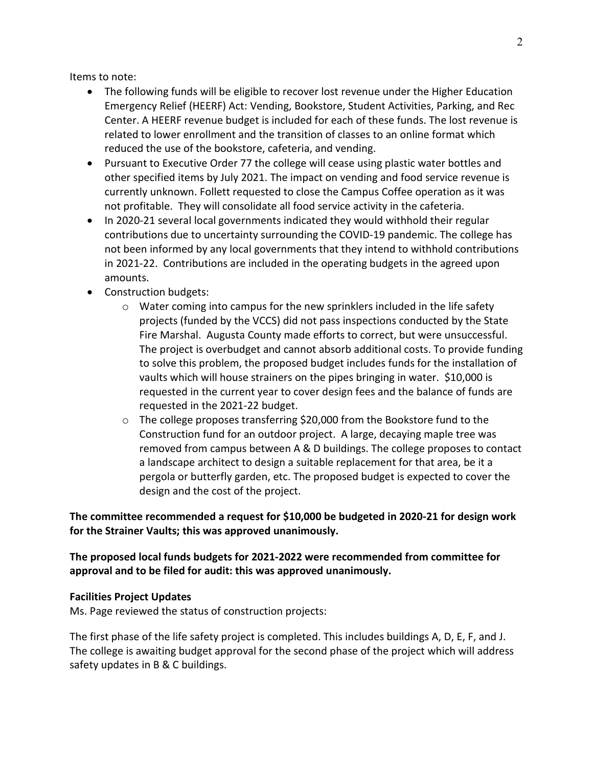Items to note:

- The following funds will be eligible to recover lost revenue under the Higher Education Emergency Relief (HEERF) Act: Vending, Bookstore, Student Activities, Parking, and Rec Center. A HEERF revenue budget is included for each of these funds. The lost revenue is related to lower enrollment and the transition of classes to an online format which reduced the use of the bookstore, cafeteria, and vending.
- Pursuant to Executive Order 77 the college will cease using plastic water bottles and other specified items by July 2021. The impact on vending and food service revenue is currently unknown. Follett requested to close the Campus Coffee operation as it was not profitable. They will consolidate all food service activity in the cafeteria.
- In 2020-21 several local governments indicated they would withhold their regular contributions due to uncertainty surrounding the COVID-19 pandemic. The college has not been informed by any local governments that they intend to withhold contributions in 2021-22. Contributions are included in the operating budgets in the agreed upon amounts.
- Construction budgets:
	- $\circ$  Water coming into campus for the new sprinklers included in the life safety projects (funded by the VCCS) did not pass inspections conducted by the State Fire Marshal. Augusta County made efforts to correct, but were unsuccessful. The project is overbudget and cannot absorb additional costs. To provide funding to solve this problem, the proposed budget includes funds for the installation of vaults which will house strainers on the pipes bringing in water. \$10,000 is requested in the current year to cover design fees and the balance of funds are requested in the 2021-22 budget.
	- $\circ$  The college proposes transferring \$20,000 from the Bookstore fund to the Construction fund for an outdoor project. A large, decaying maple tree was removed from campus between A & D buildings. The college proposes to contact a landscape architect to design a suitable replacement for that area, be it a pergola or butterfly garden, etc. The proposed budget is expected to cover the design and the cost of the project.

**The committee recommended a request for \$10,000 be budgeted in 2020-21 for design work for the Strainer Vaults; this was approved unanimously.**

**The proposed local funds budgets for 2021-2022 were recommended from committee for approval and to be filed for audit: this was approved unanimously.**

# **Facilities Project Updates**

Ms. Page reviewed the status of construction projects:

The first phase of the life safety project is completed. This includes buildings A, D, E, F, and J. The college is awaiting budget approval for the second phase of the project which will address safety updates in B & C buildings.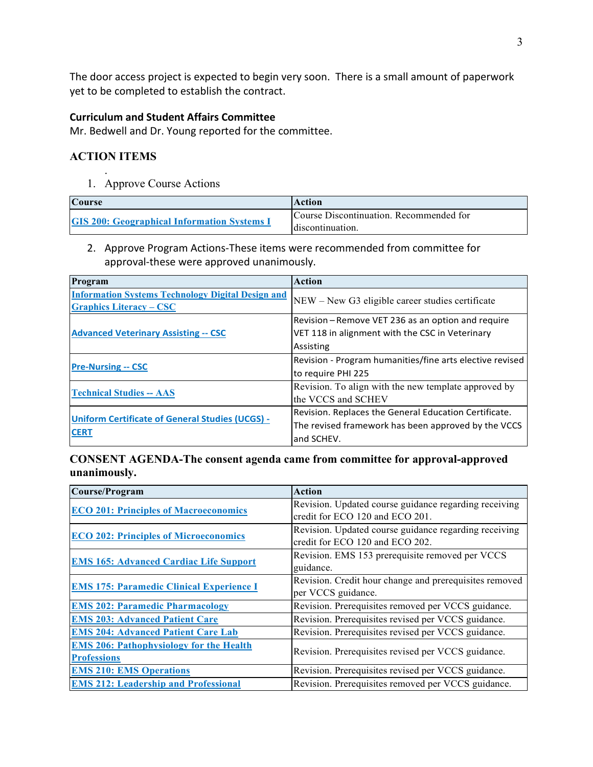The door access project is expected to begin very soon. There is a small amount of paperwork yet to be completed to establish the contract.

# **Curriculum and Student Affairs Committee**

Mr. Bedwell and Dr. Young reported for the committee.

# **ACTION ITEMS**

.

1. Approve Course Actions

| <b>Course</b>                                      | <b>Action</b>                                               |
|----------------------------------------------------|-------------------------------------------------------------|
| <b>GIS 200: Geographical Information Systems I</b> | Course Discontinuation. Recommended for<br>discontinuation. |

2. Approve Program Actions-These items were recommended from committee for approval-these were approved unanimously.

| Program                                                                                    | Action                                                                                                                     |
|--------------------------------------------------------------------------------------------|----------------------------------------------------------------------------------------------------------------------------|
| <b>Information Systems Technology Digital Design and</b><br><b>Graphics Literacy – CSC</b> | NEW – New G3 eligible career studies certificate                                                                           |
| <b>Advanced Veterinary Assisting -- CSC</b>                                                | Revision – Remove VET 236 as an option and require<br>VET 118 in alignment with the CSC in Veterinary<br>Assisting         |
| <b>Pre-Nursing -- CSC</b>                                                                  | Revision - Program humanities/fine arts elective revised<br>to require PHI 225                                             |
| <b>Technical Studies -- AAS</b>                                                            | Revision. To align with the new template approved by<br>lthe VCCS and SCHEV                                                |
| <b>Uniform Certificate of General Studies (UCGS) -</b><br><b>CERT</b>                      | Revision. Replaces the General Education Certificate.<br>The revised framework has been approved by the VCCS<br>and SCHEV. |

# **CONSENT AGENDA-The consent agenda came from committee for approval-approved unanimously.**

| Course/Program                                  | <b>Action</b>                                          |
|-------------------------------------------------|--------------------------------------------------------|
| <b>ECO 201: Principles of Macroeconomics</b>    | Revision. Updated course guidance regarding receiving  |
|                                                 | credit for ECO 120 and ECO 201.                        |
| <b>ECO 202: Principles of Microeconomics</b>    | Revision. Updated course guidance regarding receiving  |
|                                                 | credit for ECO 120 and ECO 202.                        |
| <b>EMS 165: Advanced Cardiac Life Support</b>   | Revision. EMS 153 prerequisite removed per VCCS        |
|                                                 | guidance.                                              |
| <b>EMS 175: Paramedic Clinical Experience I</b> | Revision. Credit hour change and prerequisites removed |
|                                                 | per VCCS guidance.                                     |
| <b>EMS 202: Paramedic Pharmacology</b>          | Revision. Prerequisites removed per VCCS guidance.     |
| <b>EMS 203: Advanced Patient Care</b>           | Revision. Prerequisites revised per VCCS guidance.     |
| <b>EMS 204: Advanced Patient Care Lab</b>       | Revision. Prerequisites revised per VCCS guidance.     |
| <b>EMS 206: Pathophysiology for the Health</b>  | Revision. Prerequisites revised per VCCS guidance.     |
| <b>Professions</b>                              |                                                        |
| <b>EMS 210: EMS Operations</b>                  | Revision. Prerequisites revised per VCCS guidance.     |
| <b>EMS 212: Leadership and Professional</b>     | Revision. Prerequisites removed per VCCS guidance.     |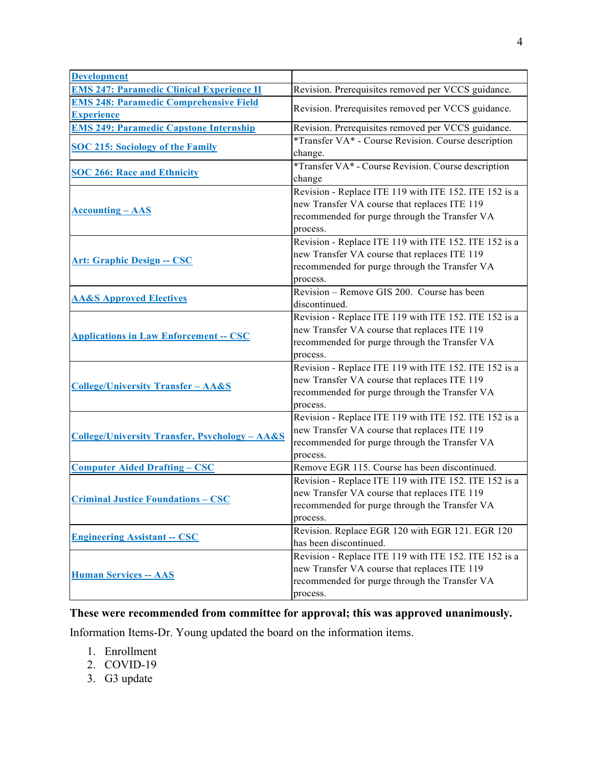| <b>Development</b>                                        |                                                       |
|-----------------------------------------------------------|-------------------------------------------------------|
| <b>EMS 247: Paramedic Clinical Experience II</b>          | Revision. Prerequisites removed per VCCS guidance.    |
| <b>EMS 248: Paramedic Comprehensive Field</b>             |                                                       |
| <b>Experience</b>                                         | Revision. Prerequisites removed per VCCS guidance.    |
| <b>EMS 249: Paramedic Capstone Internship</b>             | Revision. Prerequisites removed per VCCS guidance.    |
| <b>SOC 215: Sociology of the Family</b>                   | *Transfer VA* - Course Revision. Course description   |
|                                                           | change.                                               |
|                                                           | *Transfer VA* - Course Revision. Course description   |
| <b>SOC 266: Race and Ethnicity</b>                        | change                                                |
| <b>Accounting - AAS</b>                                   | Revision - Replace ITE 119 with ITE 152. ITE 152 is a |
|                                                           | new Transfer VA course that replaces ITE 119          |
|                                                           | recommended for purge through the Transfer VA         |
|                                                           | process.                                              |
|                                                           | Revision - Replace ITE 119 with ITE 152. ITE 152 is a |
| <b>Art: Graphic Design -- CSC</b>                         | new Transfer VA course that replaces ITE 119          |
|                                                           | recommended for purge through the Transfer VA         |
|                                                           | process.                                              |
| <b>AA&amp;S Approved Electives</b>                        | Revision - Remove GIS 200. Course has been            |
|                                                           | discontinued.                                         |
|                                                           | Revision - Replace ITE 119 with ITE 152. ITE 152 is a |
| <b>Applications in Law Enforcement -- CSC</b>             | new Transfer VA course that replaces ITE 119          |
|                                                           | recommended for purge through the Transfer VA         |
|                                                           | process.                                              |
|                                                           | Revision - Replace ITE 119 with ITE 152. ITE 152 is a |
| <b>College/University Transfer - AA&amp;S</b>             | new Transfer VA course that replaces ITE 119          |
|                                                           | recommended for purge through the Transfer VA         |
|                                                           | process.                                              |
| <b>College/University Transfer, Psychology - AA&amp;S</b> | Revision - Replace ITE 119 with ITE 152. ITE 152 is a |
|                                                           | new Transfer VA course that replaces ITE 119          |
|                                                           | recommended for purge through the Transfer VA         |
|                                                           | process.                                              |
| <b>Computer Aided Drafting – CSC</b>                      | Remove EGR 115. Course has been discontinued.         |
| <b>Criminal Justice Foundations - CSC</b>                 | Revision - Replace ITE 119 with ITE 152. ITE 152 is a |
|                                                           | new Transfer VA course that replaces ITE 119          |
|                                                           | recommended for purge through the Transfer VA         |
|                                                           | process.                                              |
| <b>Engineering Assistant -- CSC</b>                       | Revision. Replace EGR 120 with EGR 121. EGR 120       |
|                                                           | has been discontinued.                                |
| <b>Human Services -- AAS</b>                              | Revision - Replace ITE 119 with ITE 152. ITE 152 is a |
|                                                           | new Transfer VA course that replaces ITE 119          |
|                                                           | recommended for purge through the Transfer VA         |
|                                                           | process.                                              |

# **These were recommended from committee for approval; this was approved unanimously.**

Information Items-Dr. Young updated the board on the information items.

- 1. Enrollment
- 2. COVID-19
- 3. G3 update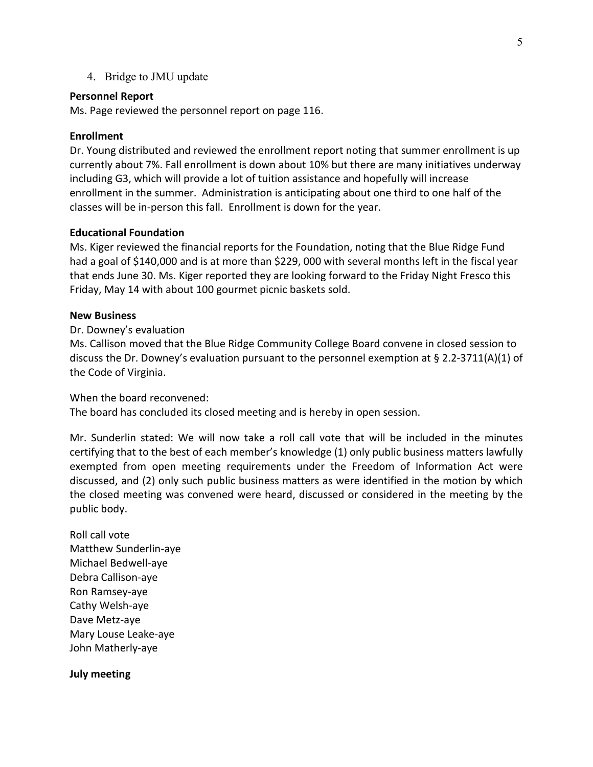4. Bridge to JMU update

# **Personnel Report**

Ms. Page reviewed the personnel report on page 116.

# **Enrollment**

Dr. Young distributed and reviewed the enrollment report noting that summer enrollment is up currently about 7%. Fall enrollment is down about 10% but there are many initiatives underway including G3, which will provide a lot of tuition assistance and hopefully will increase enrollment in the summer. Administration is anticipating about one third to one half of the classes will be in-person this fall. Enrollment is down for the year.

# **Educational Foundation**

Ms. Kiger reviewed the financial reports for the Foundation, noting that the Blue Ridge Fund had a goal of \$140,000 and is at more than \$229, 000 with several months left in the fiscal year that ends June 30. Ms. Kiger reported they are looking forward to the Friday Night Fresco this Friday, May 14 with about 100 gourmet picnic baskets sold.

# **New Business**

# Dr. Downey's evaluation

Ms. Callison moved that the Blue Ridge Community College Board convene in closed session to discuss the Dr. Downey's evaluation pursuant to the personnel exemption at § 2.2-3711(A)(1) of the Code of Virginia.

When the board reconvened:

The board has concluded its closed meeting and is hereby in open session.

Mr. Sunderlin stated: We will now take a roll call vote that will be included in the minutes certifying that to the best of each member's knowledge (1) only public business matters lawfully exempted from open meeting requirements under the Freedom of Information Act were discussed, and (2) only such public business matters as were identified in the motion by which the closed meeting was convened were heard, discussed or considered in the meeting by the public body.

Roll call vote Matthew Sunderlin-aye Michael Bedwell-aye Debra Callison-aye Ron Ramsey-aye Cathy Welsh-aye Dave Metz-aye Mary Louse Leake-aye John Matherly-aye

# **July meeting**